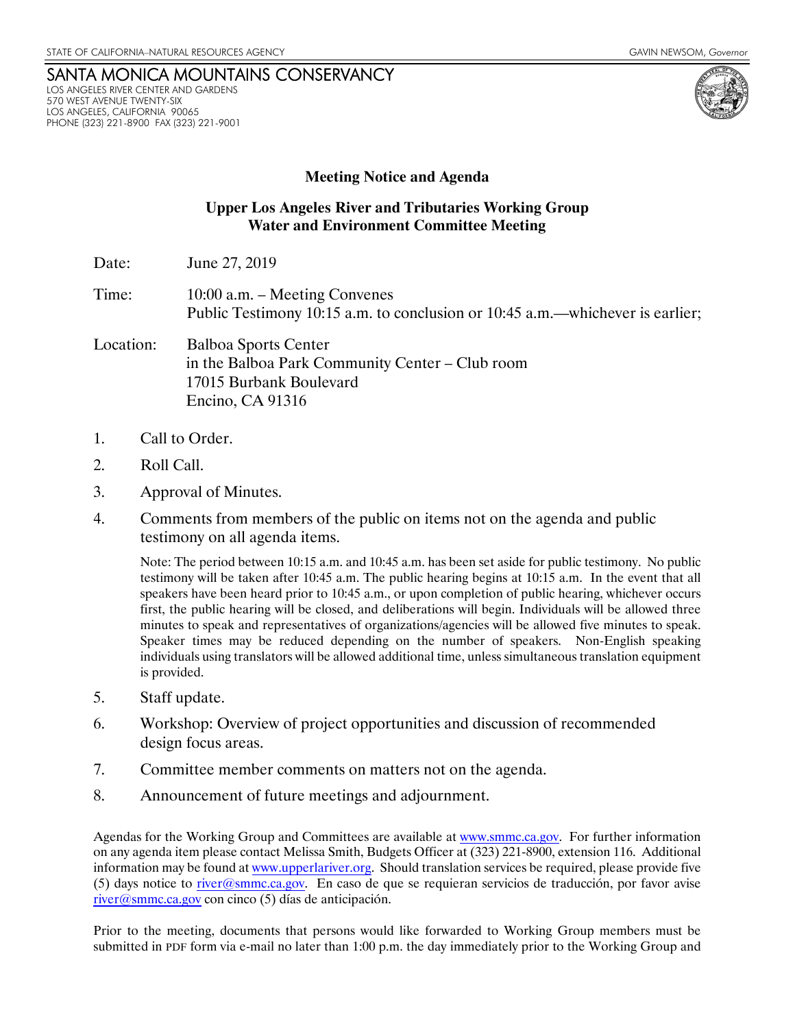## SANTA MONICA MOUNTAINS CONSERVANCY LOS ANGELES RIVER CENTER AND GARDENS 570 WEST AVENUE TWENTY-SIX LOS ANGELES, CALIFORNIA 90065 PHONE (323) 221-8900 FAX (323) 221-9001

## **Meeting Notice and Agenda**

## **Upper Los Angeles River and Tributaries Working Group Water and Environment Committee Meeting**

- Date: **June 27, 2019**
- Time: 10:00 a.m. Meeting Convenes Public Testimony 10:15 a.m. to conclusion or 10:45 a.m.—whichever is earlier;
- Location: Balboa Sports Center in the Balboa Park Community Center – Club room 17015 Burbank Boulevard Encino, CA 91316
- 1. Call to Order.
- 2. Roll Call.
- 3. Approval of Minutes.
- 4. Comments from members of the public on items not on the agenda and public testimony on all agenda items.

Note: The period between 10:15 a.m. and 10:45 a.m. has been set aside for public testimony. No public testimony will be taken after 10:45 a.m. The public hearing begins at 10:15 a.m. In the event that all speakers have been heard prior to 10:45 a.m., or upon completion of public hearing, whichever occurs first, the public hearing will be closed, and deliberations will begin. Individuals will be allowed three minutes to speak and representatives of organizations/agencies will be allowed five minutes to speak. Speaker times may be reduced depending on the number of speakers. Non-English speaking individuals using translators will be allowed additional time, unless simultaneous translation equipment is provided.

- 5. Staff update.
- 6. Workshop: Overview of project opportunities and discussion of recommended design focus areas.
- 7. Committee member comments on matters not on the agenda.
- 8. Announcement of future meetings and adjournment.

Agendas for the Working Group and Committees are available at www.smmc.ca.gov. For further information on any agenda item please contact Melissa Smith, Budgets Officer at (323) 221-8900, extension 116. Additional information may be found at www.upperlariver.org. Should translation services be required, please provide five (5) days notice to river@smmc.ca.gov. En caso de que se requieran servicios de traducción, por favor avise river@smmc.ca.gov con cinco (5) días de anticipación.

Prior to the meeting, documents that persons would like forwarded to Working Group members must be submitted in PDF form via e-mail no later than 1:00 p.m. the day immediately prior to the Working Group and